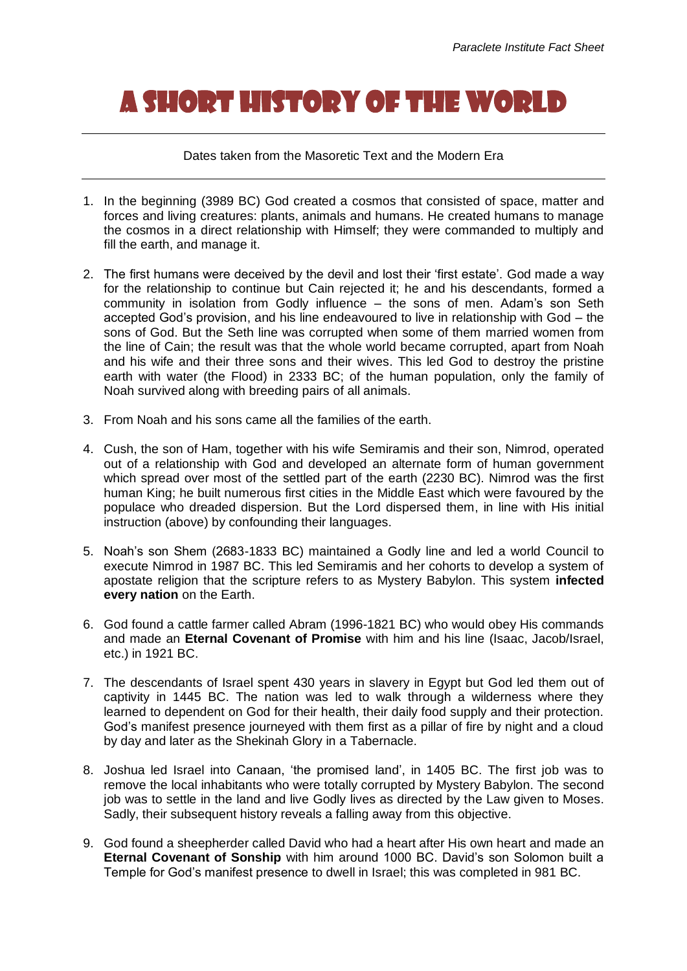## A SHORT HISTORY OF THE WORLD

Dates taken from the Masoretic Text and the Modern Era

- 1. In the beginning (3989 BC) God created a cosmos that consisted of space, matter and forces and living creatures: plants, animals and humans. He created humans to manage the cosmos in a direct relationship with Himself; they were commanded to multiply and fill the earth, and manage it.
- 2. The first humans were deceived by the devil and lost their 'first estate'. God made a way for the relationship to continue but Cain rejected it; he and his descendants, formed a community in isolation from Godly influence – the sons of men. Adam's son Seth accepted God's provision, and his line endeavoured to live in relationship with God – the sons of God. But the Seth line was corrupted when some of them married women from the line of Cain; the result was that the whole world became corrupted, apart from Noah and his wife and their three sons and their wives. This led God to destroy the pristine earth with water (the Flood) in 2333 BC; of the human population, only the family of Noah survived along with breeding pairs of all animals.
- 3. From Noah and his sons came all the families of the earth.
- 4. Cush, the son of Ham, together with his wife Semiramis and their son, Nimrod, operated out of a relationship with God and developed an alternate form of human government which spread over most of the settled part of the earth (2230 BC). Nimrod was the first human King; he built numerous first cities in the Middle East which were favoured by the populace who dreaded dispersion. But the Lord dispersed them, in line with His initial instruction (above) by confounding their languages.
- 5. Noah's son Shem (2683-1833 BC) maintained a Godly line and led a world Council to execute Nimrod in 1987 BC. This led Semiramis and her cohorts to develop a system of apostate religion that the scripture refers to as Mystery Babylon. This system **infected every nation** on the Earth.
- 6. God found a cattle farmer called Abram (1996-1821 BC) who would obey His commands and made an **Eternal Covenant of Promise** with him and his line (Isaac, Jacob/Israel, etc.) in 1921 BC.
- 7. The descendants of Israel spent 430 years in slavery in Egypt but God led them out of captivity in 1445 BC. The nation was led to walk through a wilderness where they learned to dependent on God for their health, their daily food supply and their protection. God's manifest presence journeyed with them first as a pillar of fire by night and a cloud by day and later as the Shekinah Glory in a Tabernacle.
- 8. Joshua led Israel into Canaan, 'the promised land', in 1405 BC. The first job was to remove the local inhabitants who were totally corrupted by Mystery Babylon. The second job was to settle in the land and live Godly lives as directed by the Law given to Moses. Sadly, their subsequent history reveals a falling away from this objective.
- 9. God found a sheepherder called David who had a heart after His own heart and made an **Eternal Covenant of Sonship** with him around 1000 BC. David's son Solomon built a Temple for God's manifest presence to dwell in Israel; this was completed in 981 BC.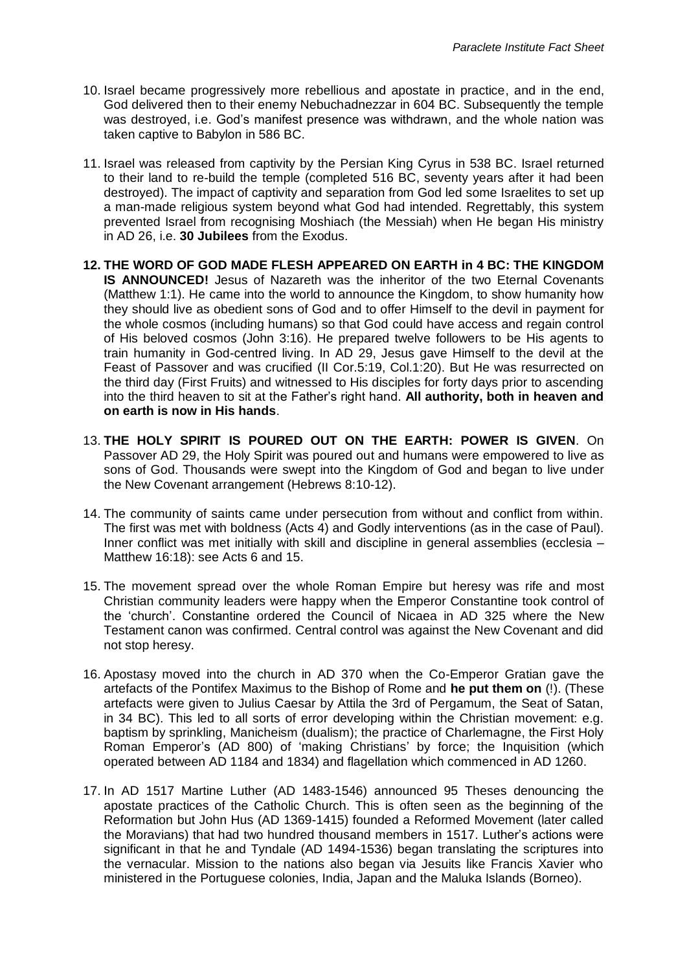- 10. Israel became progressively more rebellious and apostate in practice, and in the end, God delivered then to their enemy Nebuchadnezzar in 604 BC. Subsequently the temple was destroyed, i.e. God's manifest presence was withdrawn, and the whole nation was taken captive to Babylon in 586 BC.
- 11. Israel was released from captivity by the Persian King Cyrus in 538 BC. Israel returned to their land to re-build the temple (completed 516 BC, seventy years after it had been destroyed). The impact of captivity and separation from God led some Israelites to set up a man-made religious system beyond what God had intended. Regrettably, this system prevented Israel from recognising Moshiach (the Messiah) when He began His ministry in AD 26, i.e. **30 Jubilees** from the Exodus.
- **12. THE WORD OF GOD MADE FLESH APPEARED ON EARTH in 4 BC: THE KINGDOM IS ANNOUNCED!** Jesus of Nazareth was the inheritor of the two Eternal Covenants (Matthew 1:1). He came into the world to announce the Kingdom, to show humanity how they should live as obedient sons of God and to offer Himself to the devil in payment for the whole cosmos (including humans) so that God could have access and regain control of His beloved cosmos (John 3:16). He prepared twelve followers to be His agents to train humanity in God-centred living. In AD 29, Jesus gave Himself to the devil at the Feast of Passover and was crucified (II Cor.5:19, Col.1:20). But He was resurrected on the third day (First Fruits) and witnessed to His disciples for forty days prior to ascending into the third heaven to sit at the Father's right hand. **All authority, both in heaven and on earth is now in His hands**.
- 13. **THE HOLY SPIRIT IS POURED OUT ON THE EARTH: POWER IS GIVEN**. On Passover AD 29, the Holy Spirit was poured out and humans were empowered to live as sons of God. Thousands were swept into the Kingdom of God and began to live under the New Covenant arrangement (Hebrews 8:10-12).
- 14. The community of saints came under persecution from without and conflict from within. The first was met with boldness (Acts 4) and Godly interventions (as in the case of Paul). Inner conflict was met initially with skill and discipline in general assemblies (ecclesia – Matthew 16:18): see Acts 6 and 15.
- 15. The movement spread over the whole Roman Empire but heresy was rife and most Christian community leaders were happy when the Emperor Constantine took control of the 'church'. Constantine ordered the Council of Nicaea in AD 325 where the New Testament canon was confirmed. Central control was against the New Covenant and did not stop heresy.
- 16. Apostasy moved into the church in AD 370 when the Co-Emperor Gratian gave the artefacts of the Pontifex Maximus to the Bishop of Rome and **he put them on** (!). (These artefacts were given to Julius Caesar by Attila the 3rd of Pergamum, the Seat of Satan, in 34 BC). This led to all sorts of error developing within the Christian movement: e.g. baptism by sprinkling, Manicheism (dualism); the practice of Charlemagne, the First Holy Roman Emperor's (AD 800) of 'making Christians' by force; the Inquisition (which operated between AD 1184 and 1834) and flagellation which commenced in AD 1260.
- 17. In AD 1517 Martine Luther (AD 1483-1546) announced 95 Theses denouncing the apostate practices of the Catholic Church. This is often seen as the beginning of the Reformation but John Hus (AD 1369-1415) founded a Reformed Movement (later called the Moravians) that had two hundred thousand members in 1517. Luther's actions were significant in that he and Tyndale (AD 1494-1536) began translating the scriptures into the vernacular. Mission to the nations also began via Jesuits like Francis Xavier who ministered in the Portuguese colonies, India, Japan and the Maluka Islands (Borneo).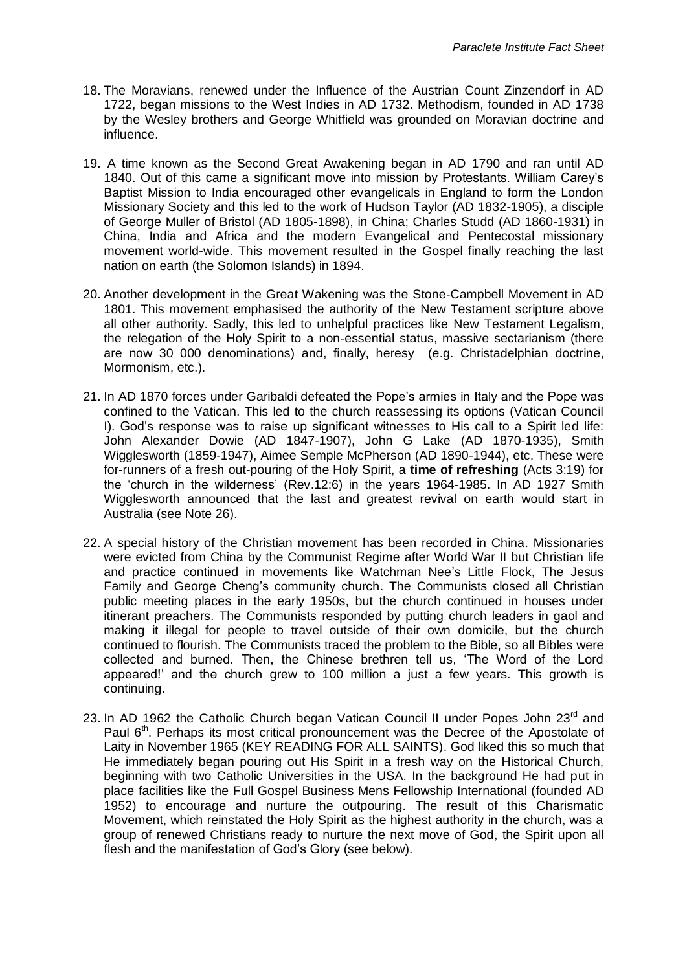- 18. The Moravians, renewed under the Influence of the Austrian Count Zinzendorf in AD 1722, began missions to the West Indies in AD 1732. Methodism, founded in AD 1738 by the Wesley brothers and George Whitfield was grounded on Moravian doctrine and influence.
- 19. A time known as the Second Great Awakening began in AD 1790 and ran until AD 1840. Out of this came a significant move into mission by Protestants. William Carey's Baptist Mission to India encouraged other evangelicals in England to form the London Missionary Society and this led to the work of Hudson Taylor (AD 1832-1905), a disciple of George Muller of Bristol (AD 1805-1898), in China; Charles Studd (AD 1860-1931) in China, India and Africa and the modern Evangelical and Pentecostal missionary movement world-wide. This movement resulted in the Gospel finally reaching the last nation on earth (the Solomon Islands) in 1894.
- 20. Another development in the Great Wakening was the Stone-Campbell Movement in AD 1801. This movement emphasised the authority of the New Testament scripture above all other authority. Sadly, this led to unhelpful practices like New Testament Legalism, the relegation of the Holy Spirit to a non-essential status, massive sectarianism (there are now 30 000 denominations) and, finally, heresy (e.g. Christadelphian doctrine, Mormonism, etc.).
- 21. In AD 1870 forces under Garibaldi defeated the Pope's armies in Italy and the Pope was confined to the Vatican. This led to the church reassessing its options (Vatican Council I). God's response was to raise up significant witnesses to His call to a Spirit led life: John Alexander Dowie (AD 1847-1907), John G Lake (AD 1870-1935), Smith Wigglesworth (1859-1947), Aimee Semple McPherson (AD 1890-1944), etc. These were for-runners of a fresh out-pouring of the Holy Spirit, a **time of refreshing** (Acts 3:19) for the 'church in the wilderness' (Rev.12:6) in the years 1964-1985. In AD 1927 Smith Wigglesworth announced that the last and greatest revival on earth would start in Australia (see Note 26).
- 22. A special history of the Christian movement has been recorded in China. Missionaries were evicted from China by the Communist Regime after World War II but Christian life and practice continued in movements like Watchman Nee's Little Flock, The Jesus Family and George Cheng's community church. The Communists closed all Christian public meeting places in the early 1950s, but the church continued in houses under itinerant preachers. The Communists responded by putting church leaders in gaol and making it illegal for people to travel outside of their own domicile, but the church continued to flourish. The Communists traced the problem to the Bible, so all Bibles were collected and burned. Then, the Chinese brethren tell us, 'The Word of the Lord appeared!' and the church grew to 100 million a just a few years. This growth is continuing.
- 23. In AD 1962 the Catholic Church began Vatican Council II under Popes John 23<sup>rd</sup> and Paul 6<sup>th</sup>. Perhaps its most critical pronouncement was the Decree of the Apostolate of Laity in November 1965 (KEY READING FOR ALL SAINTS). God liked this so much that He immediately began pouring out His Spirit in a fresh way on the Historical Church, beginning with two Catholic Universities in the USA. In the background He had put in place facilities like the Full Gospel Business Mens Fellowship International (founded AD 1952) to encourage and nurture the outpouring. The result of this Charismatic Movement, which reinstated the Holy Spirit as the highest authority in the church, was a group of renewed Christians ready to nurture the next move of God, the Spirit upon all flesh and the manifestation of God's Glory (see below).